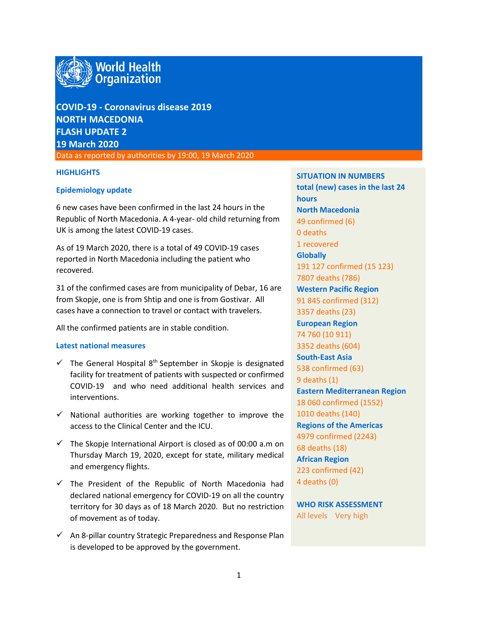

# **COVID-19 - Coronavirus disease 2019 NORTH MACEDONIA FLASH UPDATE 2 19 March 2020**

Data as reported by authorities by 19:00, 19 March 2020

## **HIGHLIGHTS**

# **Epidemiology update**

6 new cases have been confirmed in the last 24 hours in the Republic of North Macedonia. A 4-year- old child returning from UK is among the latest COVID-19 cases.

As of 19 March 2020, there is a total of 49 COVID-19 cases reported in North Macedonia including the patient who recovered.

31 of the confirmed cases are from municipality of Debar, 16 are from Skopje, one is from Shtip and one is from Gostivar. All cases have a connection to travel or contact with travelers.

All the confirmed patients are in stable condition.

# **Latest national measures**

- $\checkmark$  The General Hospital 8<sup>th</sup> September in Skopje is designated facility for treatment of patients with suspected or confirmed COVID-19 and who need additional health services and interventions.
- $\checkmark$  National authorities are working together to improve the access to the Clinical Center and the ICU.
- $\checkmark$  The Skopje International Airport is closed as of 00:00 a.m on Thursday March 19, 2020, except for state, military medical and emergency flights.
- $\checkmark$  The President of the Republic of North Macedonia had declared national emergency for COVID-19 on all the country territory for 30 days as of 18 March 2020. But no restriction of movement as of today.
- $\checkmark$  An 8-pillar country Strategic Preparedness and Response Plan is developed to be approved by the government.

**SITUATION IN NUMBERS total (new) cases in the last 24 hours North Macedonia** 49 confirmed (6) 0 deaths 1 recovered **Globally**  191 127 confirmed (15 123) 7807 deaths (786) **Western Pacific Region** 91 845 confirmed (312) 3357 deaths (23) **European Region** 74 760 (10 911) 3352 deaths (604) **South-East Asia** 538 confirmed (63) 9 deaths (1) **Eastern Mediterranean Region** 18 060 confirmed (1552) 1010 deaths (140) **Regions of the Americas** 4979 confirmed (2243) 68 deaths (18) **African Region** 223 confirmed (42) 4 deaths (0)

**WHO RISK ASSESSMENT**  All levels Very high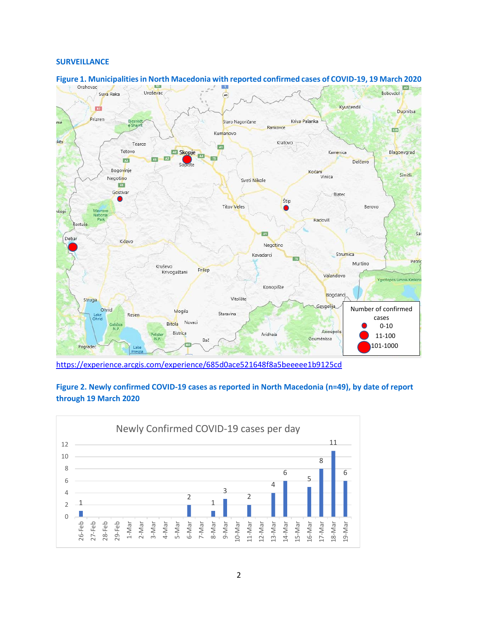### **SURVEILLANCE**



**Figure 1. Municipalities in North Macedonia with reported confirmed cases of COVID-19, 19 March 2020** 

<https://experience.arcgis.com/experience/685d0ace521648f8a5beeeee1b9125cd>



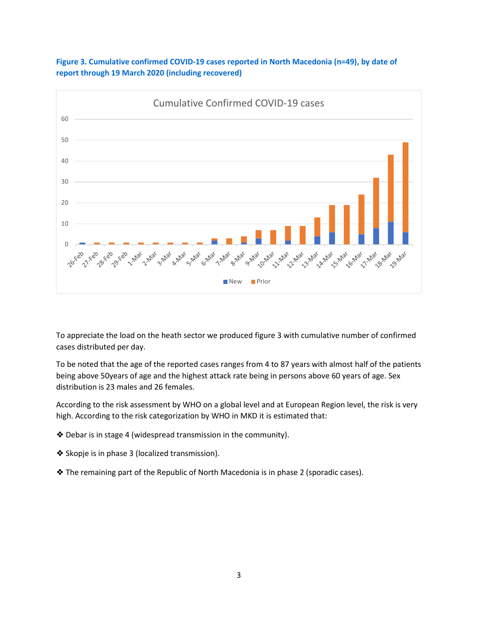

**Figure 3. Cumulative confirmed COVID-19 cases reported in North Macedonia (n=49), by date of report through 19 March 2020 (including recovered)** 

To appreciate the load on the heath sector we produced figure 3 with cumulative number of confirmed cases distributed per day.

To be noted that the age of the reported cases ranges from 4 to 87 years with almost half of the patients being above 50years of age and the highest attack rate being in persons above 60 years of age. Sex distribution is 23 males and 26 females.

According to the risk assessment by WHO on a global level and at European Region level, the risk is very high. According to the risk categorization by WHO in MKD it is estimated that:

- ❖ Debar is in stage 4 (widespread transmission in the community).
- ❖ Skopje is in phase 3 (localized transmission).
- ❖ The remaining part of the Republic of North Macedonia is in phase 2 (sporadic cases).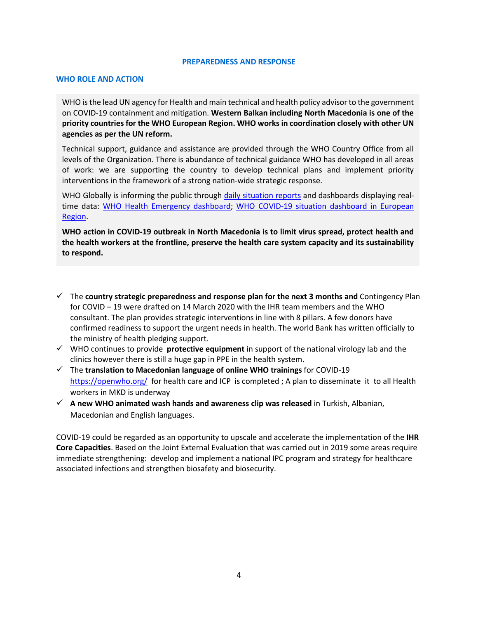#### **PREPAREDNESS AND RESPONSE**

#### **WHO ROLE AND ACTION**

WHO is the lead UN agency for Health and main technical and health policy advisor to the government on COVID-19 containment and mitigation. **Western Balkan including North Macedonia is one of the priority countries for the WHO European Region. WHO works in coordination closely with other UN agencies as per the UN reform.** 

Technical support, guidance and assistance are provided through the WHO Country Office from all levels of the Organization. There is abundance of technical guidance WHO has developed in all areas of work: we are supporting the country to develop technical plans and implement priority interventions in the framework of a strong nation-wide strategic response.

WHO Globally is informing the public through [daily situation reports](https://www.who.int/emergencies/diseases/novel-coronavirus-2019/situation-reports/) and dashboards displaying realtime data: [WHO Health Emergency dashboard;](https://extranet.who.int/publicemergency) [WHO COVID-19 situation dashboard in European](http://who.maps.arcgis.com/apps/opsdashboard/index.html#/ead3c6475654481ca51c248d52ab9c61)  [Region.](http://who.maps.arcgis.com/apps/opsdashboard/index.html#/ead3c6475654481ca51c248d52ab9c61)

**WHO action in COVID-19 outbreak in North Macedonia is to limit virus spread, protect health and the health workers at the frontline, preserve the health care system capacity and its sustainability to respond.** 

- The **country strategic preparedness and response plan for the next 3 months and** Contingency Plan for COVID – 19 were drafted on 14 March 2020 with the IHR team members and the WHO consultant. The plan provides strategic interventions in line with 8 pillars. A few donors have confirmed readiness to support the urgent needs in health. The world Bank has written officially to the ministry of health pledging support.
- WHO continues to provide **protective equipment** in support of the national virology lab and the clinics however there is still a huge gap in PPE in the health system.
- The **translation to Macedonian language of online WHO trainings** for COVID-19 <https://openwho.org/> for health care and ICP is completed ; A plan to disseminate it to all Health workers in MKD is underway
- **A new WHO animated wash hands and awareness clip was released** in Turkish, Albanian, Macedonian and English languages.

COVID-19 could be regarded as an opportunity to upscale and accelerate the implementation of the **IHR Core Capacities**. Based on the Joint External Evaluation that was carried out in 2019 some areas require immediate strengthening: develop and implement a national IPC program and strategy for healthcare associated infections and strengthen biosafety and biosecurity.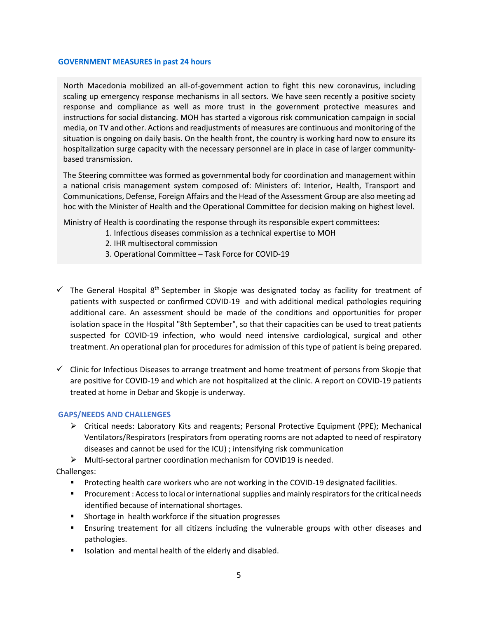#### **GOVERNMENT MEASURES in past 24 hours**

North Macedonia mobilized an all-of-government action to fight this new coronavirus, including scaling up emergency response mechanisms in all sectors. We have seen recently a positive society response and compliance as well as more trust in the government protective measures and instructions for social distancing. MOH has started a vigorous risk communication campaign in social media, on TV and other. Actions and readjustments of measures are continuous and monitoring of the situation is ongoing on daily basis. On the health front, the country is working hard now to ensure its hospitalization surge capacity with the necessary personnel are in place in case of larger communitybased transmission.

The Steering committee was formed as governmental body for coordination and management within a national crisis management system composed of: Ministers of: Interior, Health, Transport and Communications, Defense, Foreign Affairs and the Head of the Assessment Group are also meeting ad hoc with the Minister of Health and the Operational Committee for decision making on highest level.

Ministry of Health is coordinating the response through its responsible expert committees:

- 1. Infectious diseases commission as a technical expertise to MOH
- 2. IHR multisectoral commission
- 3. Operational Committee Task Force for COVID-19
- $\checkmark$  The General Hospital 8<sup>th</sup> September in Skopje was designated today as facility for treatment of patients with suspected or confirmed COVID-19 and with additional medical pathologies requiring additional care. An assessment should be made of the conditions and opportunities for proper isolation space in the Hospital "8th September", so that their capacities can be used to treat patients suspected for COVID-19 infection, who would need intensive cardiological, surgical and other treatment. An operational plan for procedures for admission of this type of patient is being prepared.
- $\checkmark$  Clinic for Infectious Diseases to arrange treatment and home treatment of persons from Skopje that are positive for COVID-19 and which are not hospitalized at the clinic. A report on COVID-19 patients treated at home in Debar and Skopje is underway.

# **GAPS/NEEDS AND CHALLENGES**

 $\triangleright$  Critical needs: Laboratory Kits and reagents; Personal Protective Equipment (PPE); Mechanical Ventilators/Respirators (respirators from operating rooms are not adapted to need of respiratory diseases and cannot be used for the ICU) ; intensifying risk communication

 $\triangleright$  Multi-sectoral partner coordination mechanism for COVID19 is needed.

Challenges:

- Protecting health care workers who are not working in the COVID-19 designated facilities.
- **Procurement : Access to local or international supplies and mainly respirators for the critical needs** identified because of international shortages.
- **Shortage in health workforce if the situation progresses**
- Ensuring treatement for all citizens including the vulnerable groups with other diseases and pathologies.
- **ISOLATE:** Isolation and mental health of the elderly and disabled.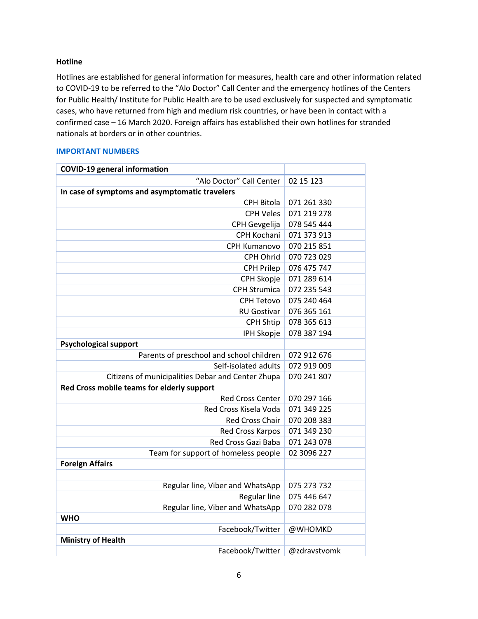## **Hotline**

Hotlines are established for general information for measures, health care and other information related to COVID-19 to be referred to the "Alo Doctor" Call Center and the emergency hotlines of the Centers for Public Health/ Institute for Public Health are to be used exclusively for suspected and symptomatic cases, who have returned from high and medium risk countries, or have been in contact with a confirmed case – 16 March 2020. Foreign affairs has established their own hotlines for stranded nationals at borders or in other countries.

## **IMPORTANT NUMBERS**

| <b>COVID-19 general information</b>               |              |
|---------------------------------------------------|--------------|
| "Alo Doctor" Call Center                          | 02 15 123    |
| In case of symptoms and asymptomatic travelers    |              |
| <b>CPH Bitola</b>                                 | 071 261 330  |
| <b>CPH Veles</b>                                  | 071 219 278  |
| CPH Gevgelija                                     | 078 545 444  |
| CPH Kochani                                       | 071 373 913  |
| CPH Kumanovo                                      | 070 215 851  |
| CPH Ohrid                                         | 070 723 029  |
| <b>CPH Prilep</b>                                 | 076 475 747  |
| CPH Skopje                                        | 071 289 614  |
| <b>CPH Strumica</b>                               | 072 235 543  |
| <b>CPH Tetovo</b>                                 | 075 240 464  |
| <b>RU Gostivar</b>                                | 076 365 161  |
| <b>CPH Shtip</b>                                  | 078 365 613  |
| <b>IPH Skopje</b>                                 | 078 387 194  |
| <b>Psychological support</b>                      |              |
| Parents of preschool and school children          | 072 912 676  |
| Self-isolated adults                              | 072 919 009  |
| Citizens of municipalities Debar and Center Zhupa | 070 241 807  |
| Red Cross mobile teams for elderly support        |              |
| <b>Red Cross Center</b>                           | 070 297 166  |
| Red Cross Kisela Voda                             | 071 349 225  |
| <b>Red Cross Chair</b>                            | 070 208 383  |
| Red Cross Karpos                                  | 071 349 230  |
| Red Cross Gazi Baba                               | 071 243 078  |
| Team for support of homeless people               | 02 3096 227  |
| <b>Foreign Affairs</b>                            |              |
|                                                   |              |
| Regular line, Viber and WhatsApp                  | 075 273 732  |
| Regular line                                      | 075 446 647  |
| Regular line, Viber and WhatsApp                  | 070 282 078  |
| <b>WHO</b>                                        |              |
| Facebook/Twitter                                  | @WHOMKD      |
| <b>Ministry of Health</b>                         |              |
| Facebook/Twitter                                  | @zdravstvomk |